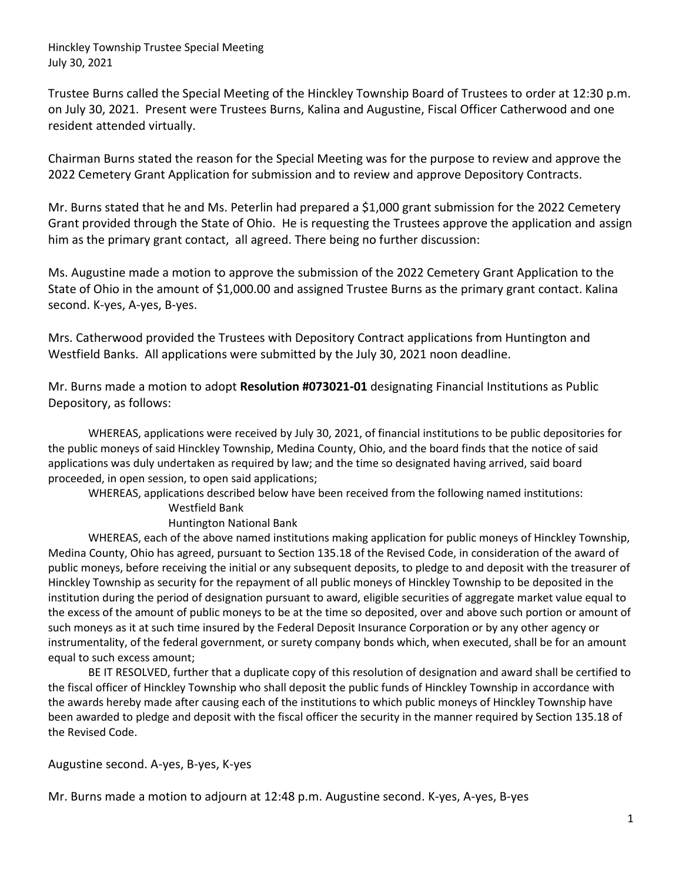Hinckley Township Trustee Special Meeting July 30, 2021

Trustee Burns called the Special Meeting of the Hinckley Township Board of Trustees to order at 12:30 p.m. on July 30, 2021. Present were Trustees Burns, Kalina and Augustine, Fiscal Officer Catherwood and one resident attended virtually.

Chairman Burns stated the reason for the Special Meeting was for the purpose to review and approve the 2022 Cemetery Grant Application for submission and to review and approve Depository Contracts.

Mr. Burns stated that he and Ms. Peterlin had prepared a \$1,000 grant submission for the 2022 Cemetery Grant provided through the State of Ohio. He is requesting the Trustees approve the application and assign him as the primary grant contact, all agreed. There being no further discussion:

Ms. Augustine made a motion to approve the submission of the 2022 Cemetery Grant Application to the State of Ohio in the amount of \$1,000.00 and assigned Trustee Burns as the primary grant contact. Kalina second. K-yes, A-yes, B-yes.

Mrs. Catherwood provided the Trustees with Depository Contract applications from Huntington and Westfield Banks. All applications were submitted by the July 30, 2021 noon deadline.

Mr. Burns made a motion to adopt **Resolution #073021-01** designating Financial Institutions as Public Depository, as follows:

WHEREAS, applications were received by July 30, 2021, of financial institutions to be public depositories for the public moneys of said Hinckley Township, Medina County, Ohio, and the board finds that the notice of said applications was duly undertaken as required by law; and the time so designated having arrived, said board proceeded, in open session, to open said applications;

WHEREAS, applications described below have been received from the following named institutions: Westfield Bank

## Huntington National Bank

WHEREAS, each of the above named institutions making application for public moneys of Hinckley Township, Medina County, Ohio has agreed, pursuant to Section 135.18 of the Revised Code, in consideration of the award of public moneys, before receiving the initial or any subsequent deposits, to pledge to and deposit with the treasurer of Hinckley Township as security for the repayment of all public moneys of Hinckley Township to be deposited in the institution during the period of designation pursuant to award, eligible securities of aggregate market value equal to the excess of the amount of public moneys to be at the time so deposited, over and above such portion or amount of such moneys as it at such time insured by the Federal Deposit Insurance Corporation or by any other agency or instrumentality, of the federal government, or surety company bonds which, when executed, shall be for an amount equal to such excess amount;

BE IT RESOLVED, further that a duplicate copy of this resolution of designation and award shall be certified to the fiscal officer of Hinckley Township who shall deposit the public funds of Hinckley Township in accordance with the awards hereby made after causing each of the institutions to which public moneys of Hinckley Township have been awarded to pledge and deposit with the fiscal officer the security in the manner required by Section 135.18 of the Revised Code.

Augustine second. A-yes, B-yes, K-yes

Mr. Burns made a motion to adjourn at 12:48 p.m. Augustine second. K-yes, A-yes, B-yes